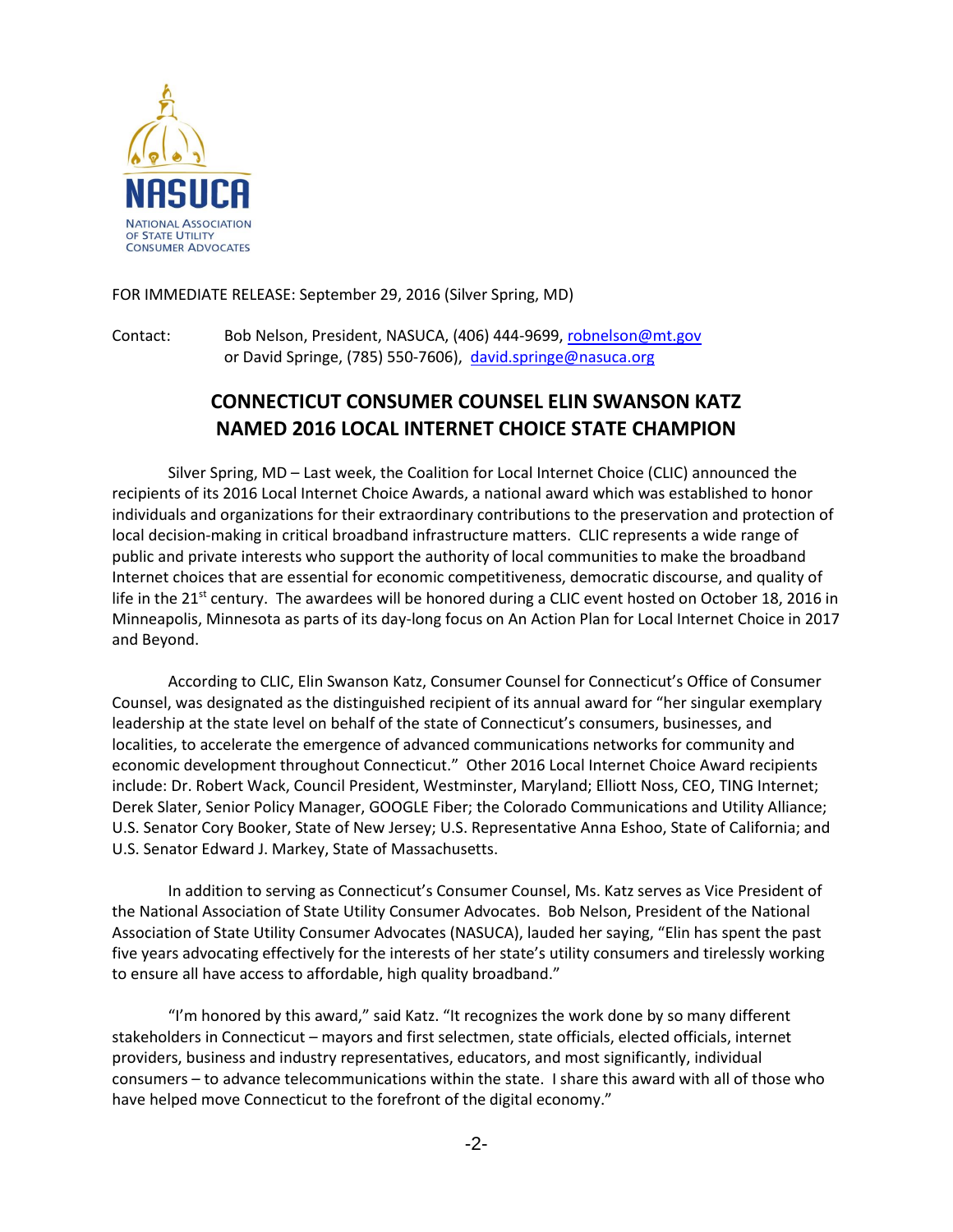

FOR IMMEDIATE RELEASE: September 29, 2016 (Silver Spring, MD)

Contact: Bob Nelson, President, NASUCA, (406) 444-9699[, robnelson@mt.gov](mailto:robnelson@mt.gov) or David Springe, (785) 550-7606), [david.springe@nasuca.org](mailto:david.springe@nasuca.org)

## **CONNECTICUT CONSUMER COUNSEL ELIN SWANSON KATZ NAMED 2016 LOCAL INTERNET CHOICE STATE CHAMPION**

Silver Spring, MD – Last week, the Coalition for Local Internet Choice (CLIC) announced the recipients of its 2016 Local Internet Choice Awards, a national award which was established to honor individuals and organizations for their extraordinary contributions to the preservation and protection of local decision-making in critical broadband infrastructure matters. CLIC represents a wide range of public and private interests who support the authority of local communities to make the broadband Internet choices that are essential for economic competitiveness, democratic discourse, and quality of life in the 21<sup>st</sup> century. The awardees will be honored during a CLIC event hosted on October 18, 2016 in Minneapolis, Minnesota as parts of its day-long focus on An Action Plan for Local Internet Choice in 2017 and Beyond.

According to CLIC, Elin Swanson Katz, Consumer Counsel for Connecticut's Office of Consumer Counsel, was designated as the distinguished recipient of its annual award for "her singular exemplary leadership at the state level on behalf of the state of Connecticut's consumers, businesses, and localities, to accelerate the emergence of advanced communications networks for community and economic development throughout Connecticut." Other 2016 Local Internet Choice Award recipients include: Dr. Robert Wack, Council President, Westminster, Maryland; Elliott Noss, CEO, TING Internet; Derek Slater, Senior Policy Manager, GOOGLE Fiber; the Colorado Communications and Utility Alliance; U.S. Senator Cory Booker, State of New Jersey; U.S. Representative Anna Eshoo, State of California; and U.S. Senator Edward J. Markey, State of Massachusetts.

In addition to serving as Connecticut's Consumer Counsel, Ms. Katz serves as Vice President of the National Association of State Utility Consumer Advocates. Bob Nelson, President of the National Association of State Utility Consumer Advocates (NASUCA), lauded her saying, "Elin has spent the past five years advocating effectively for the interests of her state's utility consumers and tirelessly working to ensure all have access to affordable, high quality broadband."

"I'm honored by this award," said Katz. "It recognizes the work done by so many different stakeholders in Connecticut – mayors and first selectmen, state officials, elected officials, internet providers, business and industry representatives, educators, and most significantly, individual consumers – to advance telecommunications within the state. I share this award with all of those who have helped move Connecticut to the forefront of the digital economy."